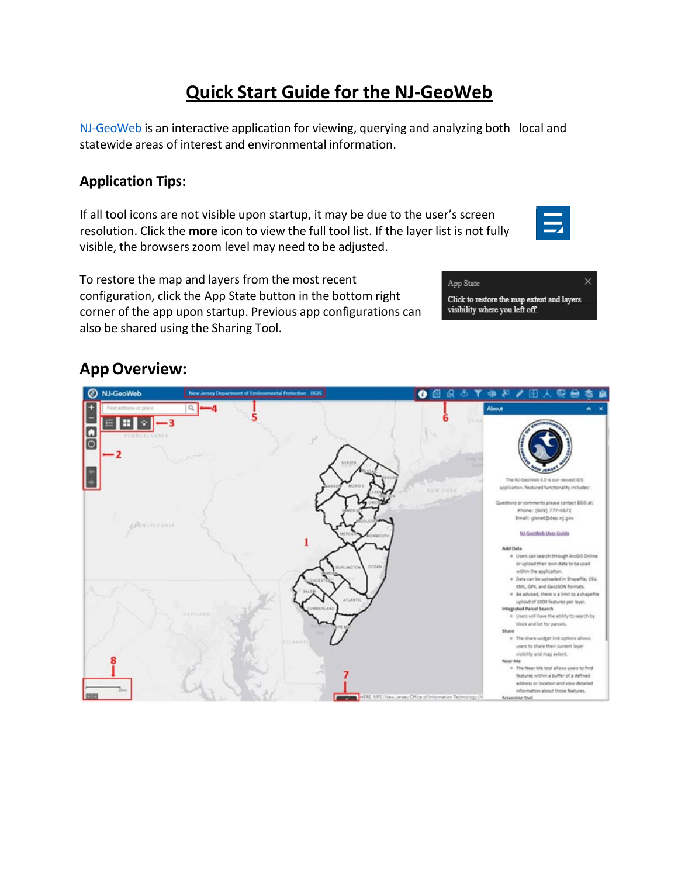# **Quick Start Guide for the NJ-GeoWeb**

[NJ-GeoWeb](https://njdep.maps.arcgis.com/apps/webappviewer/index.html?id=02251e521d97454aabadfd8cf168e44d) is an interactive application for viewing, querying and analyzing both local and statewide areas of interest and environmental information.

# **Application Tips:**

If all tool icons are not visible upon startup, it may be due to the user's screen resolution. Click the **more** icon to view the full tool list. If the layer list is not fully visible, the browsers zoom level may need to be adjusted.



To restore the map and layers from the most recent configuration, click the App State button in the bottom right corner of the app upon startup. Previous app configurations can also be shared using the Sharing Tool.



# **AppOverview:**

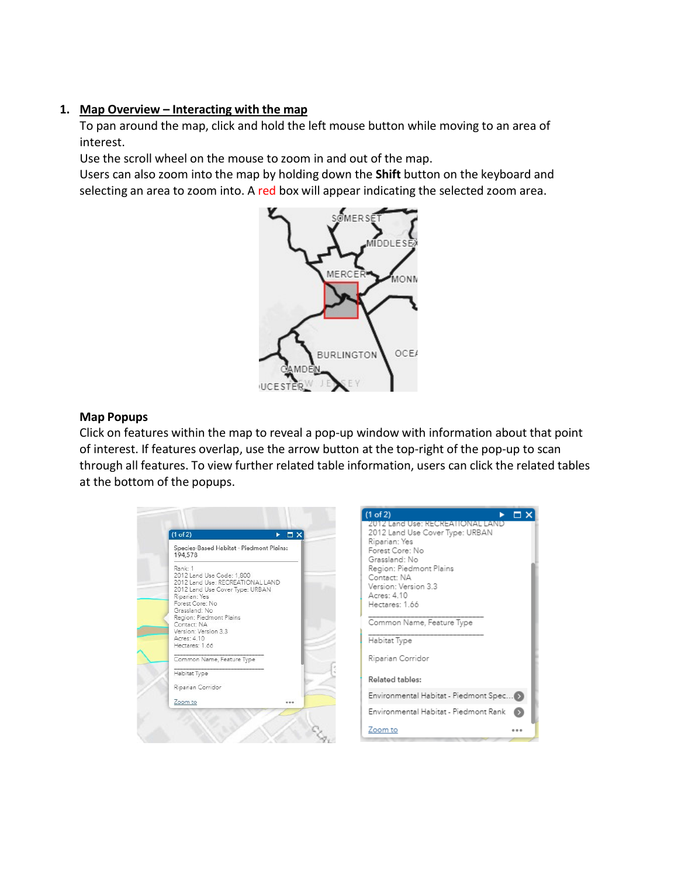# **1. Map Overview – Interacting with the map**

To pan around the map, click and hold the left mouse button while moving to an area of interest.

Use the scroll wheel on the mouse to zoom in and out of the map.

Users can also zoom into the map by holding down the **Shift** button on the keyboard and selecting an area to zoom into. A red box will appear indicating the selected zoom area.



# **Map Popups**

Click on features within the map to reveal a pop-up window with information about that point of interest. If features overlap, use the arrow button at the top-right of the pop-up to scan through all features. To view further related table information, users can click the related tables at the bottom of the popups.

| Species-Based Habitat - Piedmont Plains:<br>194,578                                                                                                                                                                                                                 |
|---------------------------------------------------------------------------------------------------------------------------------------------------------------------------------------------------------------------------------------------------------------------|
| Rank: 1<br>2012 Land Use Code: 1.800<br>2012 Land Use: RECREATIONAL LAND<br>2012 Land Use Cover Type: URBAN<br>Riparian: Yes<br>Forest Core: No<br>Grassland: No<br>Region: Piedmont Plains<br>Contact: NA<br>Version: Version 3.3<br>Acres: 4.10<br>Hectares: 1.66 |
| Common Name, Feature Type                                                                                                                                                                                                                                           |
| Habitat Type                                                                                                                                                                                                                                                        |
| Riparian Corridor                                                                                                                                                                                                                                                   |
| Zoom to<br>0.0.6                                                                                                                                                                                                                                                    |

| (1 of 2)                                                                                                                                                                                                                    |  |
|-----------------------------------------------------------------------------------------------------------------------------------------------------------------------------------------------------------------------------|--|
| 2012 Land Use: RECREATIONAL LAND<br>2012 Land Use Cover Type: URBAN<br>Riparian: Yes<br>Forest Core: No<br>Grassland: No<br>Region: Piedmont Plains<br>Contact: NA<br>Version: Version 3.3<br>Acres: 4.10<br>Hectares: 1.66 |  |
| Common Name, Feature Type                                                                                                                                                                                                   |  |
| Habitat Type                                                                                                                                                                                                                |  |
| Riparian Corridor                                                                                                                                                                                                           |  |
| Related tables:                                                                                                                                                                                                             |  |
| Environmental Habitat - Piedmont Spec()                                                                                                                                                                                     |  |
| Environmental Habitat - Piedmont Rank                                                                                                                                                                                       |  |
| Zoom to                                                                                                                                                                                                                     |  |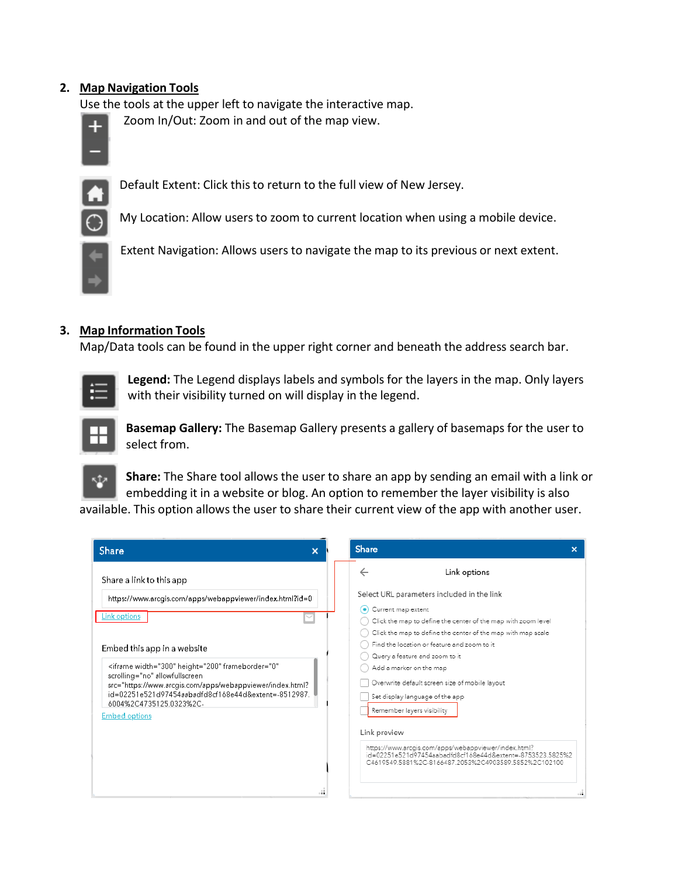# **2. Map Navigation Tools**

Use the tools at the upper left to navigate the interactive map.

Zoom In/Out: Zoom in and out of the map view.



Default Extent: Click thisto return to the full view of New Jersey.



My Location: Allow users to zoom to current location when using a mobile device.



Extent Navigation: Allows users to navigate the map to its previous or next extent.

## **3. Map Information Tools**

Map/Data tools can be found in the upper right corner and beneath the address search bar.



**Legend:** The Legend displays labels and symbols for the layers in the map. Only layers with their visibility turned on will display in the legend.



**Basemap Gallery:** The Basemap Gallery presents a gallery of basemaps for the user to select from.



**Share:** The Share tool allows the user to share an app by sending an email with a link or embedding it in a website or blog. An option to remember the layer visibility is also

available. This option allows the user to share their current view of the app with another user.

| Share<br>$\boldsymbol{\mathsf{x}}$                                                                                                                                                                                                                                                                                                                               | Share<br>×                                                                                                                                                                                                                                                                                                                                                                                                                      |
|------------------------------------------------------------------------------------------------------------------------------------------------------------------------------------------------------------------------------------------------------------------------------------------------------------------------------------------------------------------|---------------------------------------------------------------------------------------------------------------------------------------------------------------------------------------------------------------------------------------------------------------------------------------------------------------------------------------------------------------------------------------------------------------------------------|
| Share a link to this app<br>https://www.arcgis.com/apps/webappviewer/index.html?id=0<br>Link options<br>Embed this app in a website<br><iframe <br="" frameborder="0" height="200" width="300">scrolling="no" allowfullscreen<br/>src="https://www.arcgis.com/apps/webappviewer/index.html?<br/>id=02251e521d97454aabadfd8cf168e44d&amp;extent=-8512987</iframe> | Link options<br>Select URL parameters included in the link<br>Current map extent<br>$\bullet$<br>Click the map to define the center of the map with zoom level<br>Click the map to define the center of the map with map scale<br>Find the location or feature and zoom to it<br>Query a feature and zoom to it<br>Add a marker on the map<br>Overwrite default screen size of mobile layout<br>Set display language of the app |
| 6004%2C4735125.0323%2C-<br><b>Embed options</b><br>$\ddot{\bullet}$                                                                                                                                                                                                                                                                                              | Remember layers visibility<br>Link preview<br>https://www.arcgis.com/apps/webappviewer/index.html?<br>id=02251e521d97454aabadfd8cf168e44d&extent=-8753523.5825%2<br>C4619549 5881%2C-8166487 2053%2C4903589 5852%2C102100                                                                                                                                                                                                       |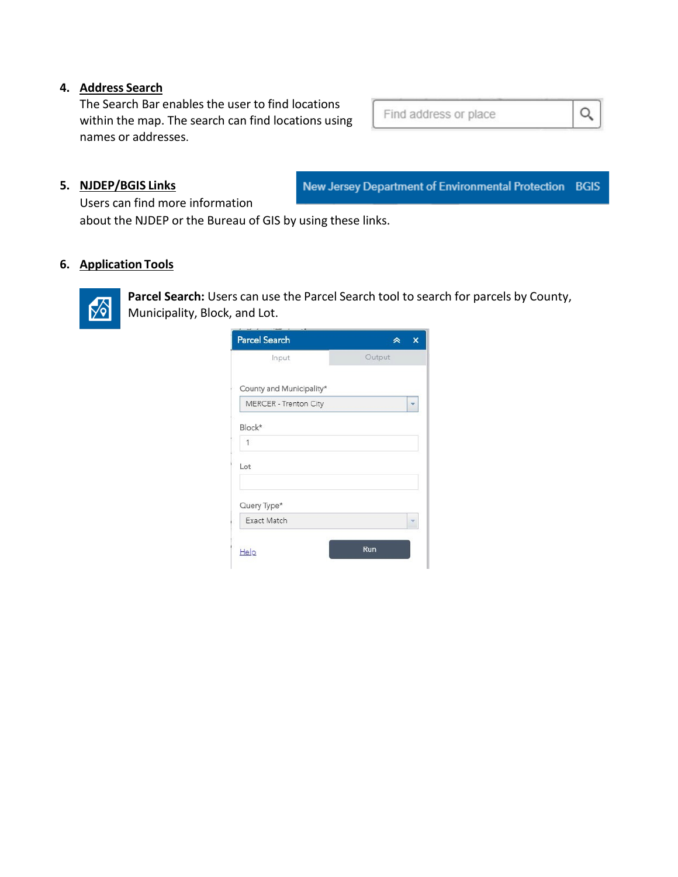# **4. Address Search**

The Search Bar enables the user to find locations within the map. The search can find locations using names or addresses.

# **5. NJDEP/BGIS Links**

New Jersey Department of Environmental Protection BGIS

Find address or place

Q

Users can find more information

about the NJDEP or the Bureau of GIS by using these links.

# **6. Application Tools**



**Parcel Search:** Users can use the Parcel Search tool to search for parcels by County, Municipality, Block, and Lot.

| <b>Parcel Search</b>     |        | × |
|--------------------------|--------|---|
| Input                    | Output |   |
| County and Municipality* |        |   |
| MERCER - Trenton City    |        |   |
| Block*                   |        |   |
| 1                        |        |   |
| Lot                      |        |   |
| Query Type*              |        |   |
| Exact Match              |        |   |
| Help                     | Run    |   |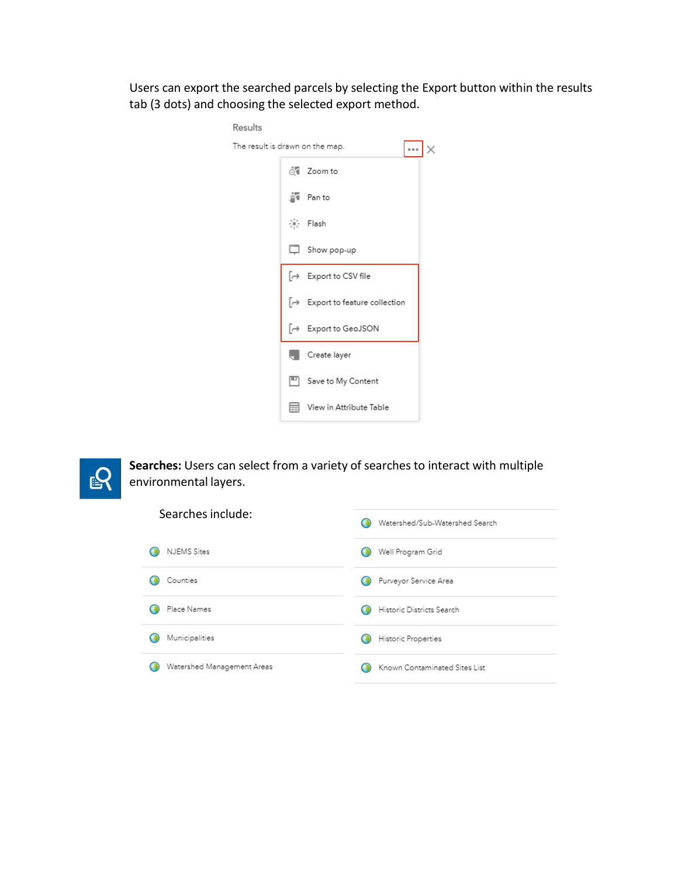Users can export the searched parcels by selecting the Export button within the results tab (3 dots) and choosing the selected export method.

| Results |                                               |  |
|---------|-----------------------------------------------|--|
|         | The result is drawn on the map.<br>0.0.0      |  |
|         | of Zoom to                                    |  |
|         | ∭थ Panto                                      |  |
|         | ※ Flash                                       |  |
|         | Show pop-up                                   |  |
|         | [→ Export to CSV file                         |  |
|         | [→ Export to feature collection               |  |
|         | $\left[\rightarrow \right.$ Export to GeoJSON |  |
|         | Create layer                                  |  |
|         | □ Save to My Content                          |  |
|         | View in Attribute Table                       |  |



| Searches include:          | Watershed/Sub-Watershed Search |
|----------------------------|--------------------------------|
| <b>NJEMS</b> Sites         | Well Program Grid              |
| Counties                   | Purveyor Service Area          |
| Place Names                | Historic Districts Search      |
| Municipalities             | Historic Properties            |
| Watershed Management Areas | Known Contaminated Sites List  |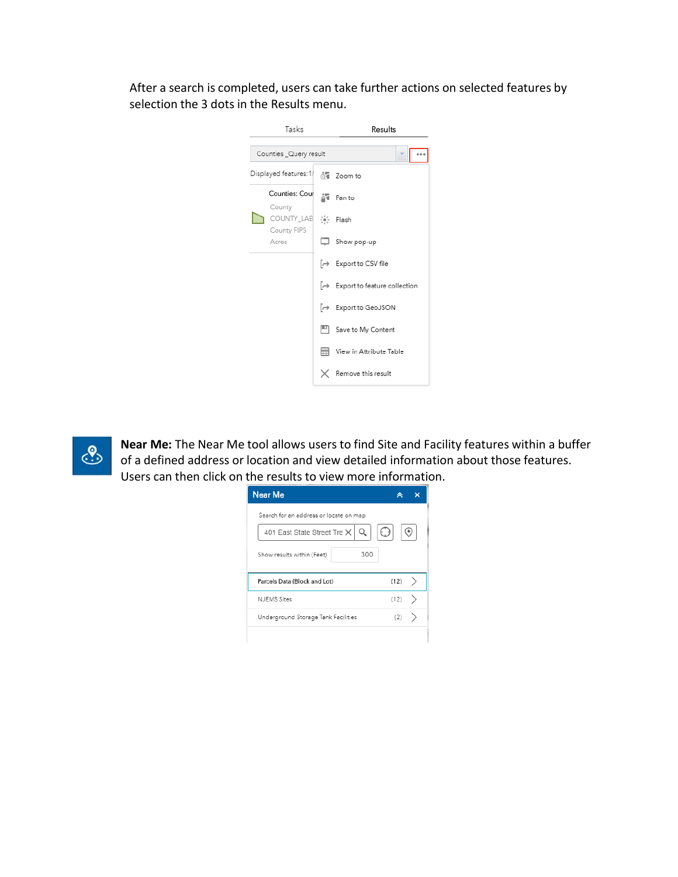After a search is completed, users can take further actions on selected features by selection the 3 dots in the Results menu.





**Near Me:** The Near Me tool allows users to find Site and Facility features within a buffer of a defined address or location and view detailed information about those features. Users can then click on the results to view more information.

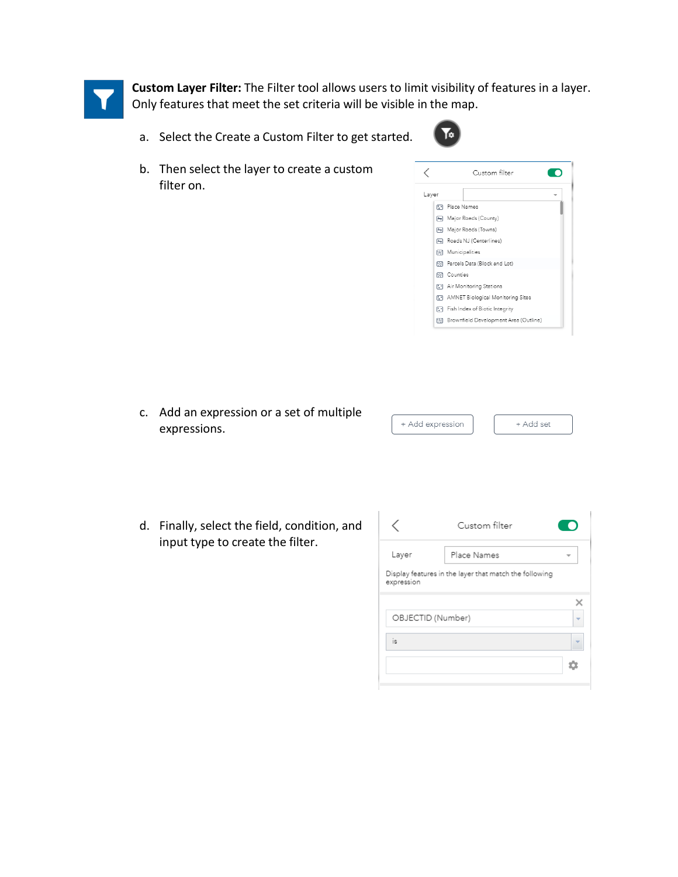

**Custom Layer Filter:** The Filter tool allows users to limit visibility of features in a layer. Only features that meet the set criteria will be visible in the map.

a. Select the Create a Custom Filter to get started.



b. Then select the layer to create a custom filter on.



c. Add an expression or a set of multiple + Add expre expressions.

| ssion | + Add set |  |
|-------|-----------|--|

d. Finally, select the field, condition, and input type to create the filter.

|                   | Custom filter                                          |  |
|-------------------|--------------------------------------------------------|--|
| Layer             | Place Names                                            |  |
| expression        | Display features in the layer that match the following |  |
|                   |                                                        |  |
| OBJECTID (Number) |                                                        |  |
| is                |                                                        |  |
|                   |                                                        |  |
|                   |                                                        |  |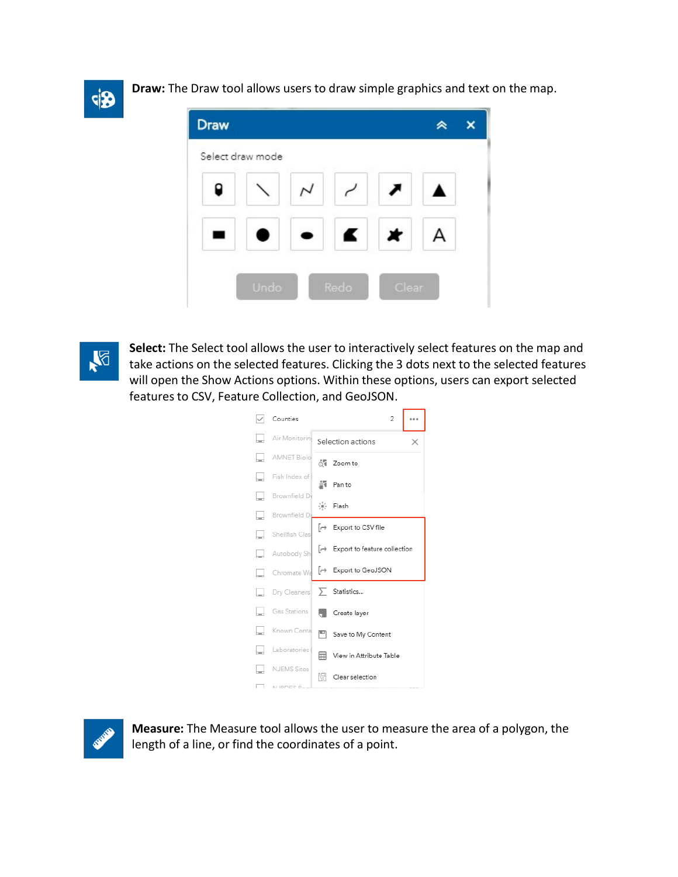

**Draw:** The Draw tool allows users to draw simple graphics and text on the map.





**Select:** The Select tool allows the user to interactively select features on the map and take actions on the selected features. Clicking the 3 dots next to the selected features will open the Show Actions options. Within these options, users can export selected features to CSV, Feature Collection, and GeoJSON.





**Measure:** The Measure tool allows the user to measure the area of a polygon, the length of a line, or find the coordinates of a point.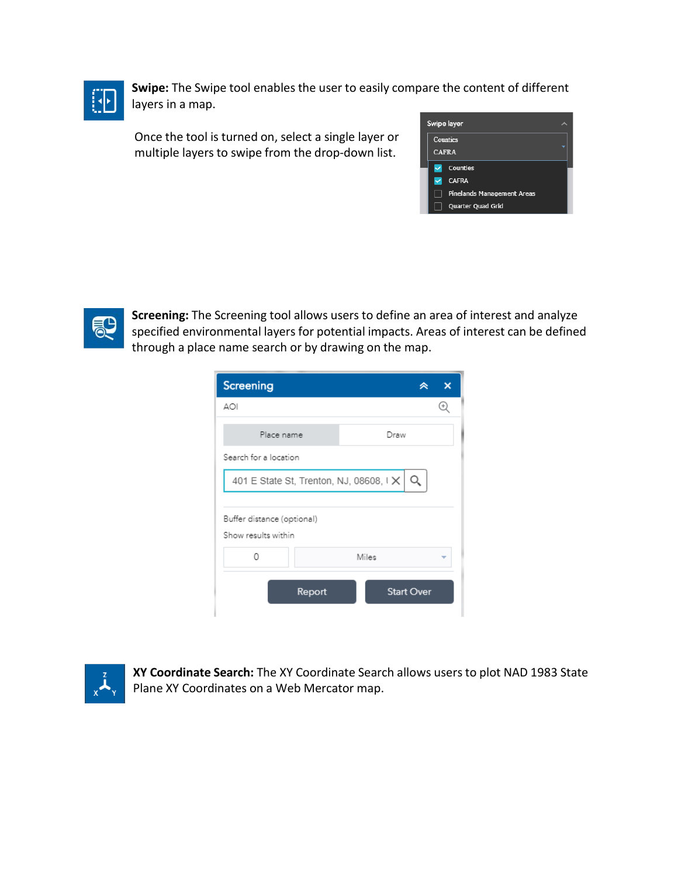

**Swipe:** The Swipe tool enables the user to easily compare the content of different layers in a map.

Once the tool is turned on, select a single layer or multiple layers to swipe from the drop-down list.





**Screening:** The Screening tool allows users to define an area of interest and analyze specified environmental layers for potential impacts. Areas of interest can be defined through a place name search or by drawing on the map.

| Screening                                         |        |       |                   |  |
|---------------------------------------------------|--------|-------|-------------------|--|
| AOI                                               |        |       |                   |  |
| Place name                                        |        |       | Draw              |  |
| Search for a location                             |        |       |                   |  |
| 401 E State St, Trenton, NJ, 08608, IX            |        |       |                   |  |
| Buffer distance (optional)<br>Show results within |        |       |                   |  |
| Ω                                                 |        | Miles |                   |  |
|                                                   | Report |       | <b>Start Over</b> |  |



**XY Coordinate Search:** The XY Coordinate Search allows users to plot NAD 1983 State Plane XY Coordinates on a Web Mercator map.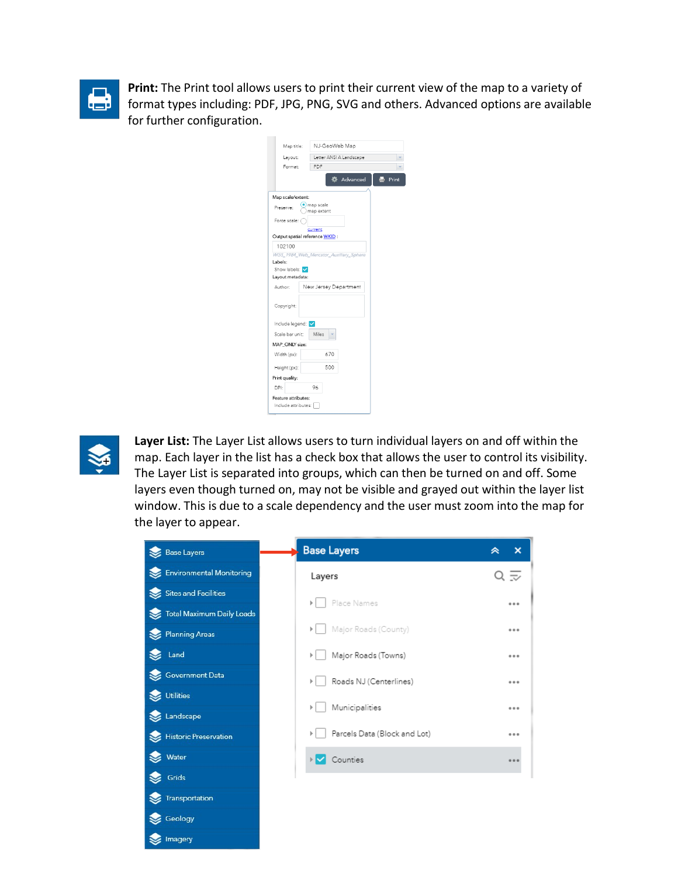

**Print:** The Print tool allows users to print their current view of the map to a variety of format types including: PDF, JPG, PNG, SVG and others. Advanced options are available for further configuration.

| Map title:                                 | NJ-GeoWeb Map                          |  |
|--------------------------------------------|----------------------------------------|--|
| Layout:                                    | Letter ANSI A Landscape                |  |
| Format:                                    | PDF                                    |  |
|                                            | Advanced<br>Print                      |  |
| Map scale/extent:                          |                                        |  |
| Preserve:                                  | map scale<br>map extent                |  |
| Force scale:                               | current                                |  |
| Output spatial reference WKID:             |                                        |  |
| 102100                                     |                                        |  |
|                                            | WGS 1984 Web Mercator Auxiliary Sphere |  |
| Labels:                                    |                                        |  |
| Show labels: V                             |                                        |  |
| Layout metadata:                           |                                        |  |
| Author:                                    | New Jersey Department                  |  |
| Copyright:                                 |                                        |  |
| Include legend: V                          |                                        |  |
| Scale bar unit:                            | Miles                                  |  |
| MAP_ONLY size:                             |                                        |  |
| Width (px):                                | 670                                    |  |
| Height (px):                               | 500                                    |  |
| Print quality:                             |                                        |  |
| DPI:                                       | 96                                     |  |
| Feature attributes:<br>Include attributes: |                                        |  |



**Layer List:** The Layer List allows users to turn individual layers on and off within the map. Each layer in the list has a check box that allows the user to control its visibility. The Layer List is separated into groups, which can then be turned on and off. Some layers even though turned on, may not be visible and grayed out within the layer list window. This is due to a scale dependency and the user must zoom into the map for the layer to appear.

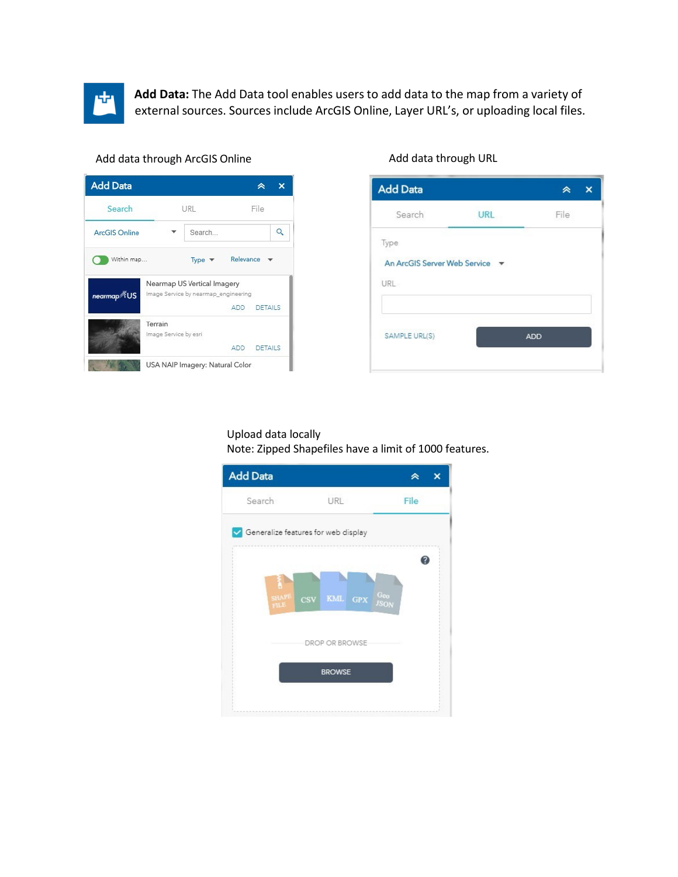

**Add Data:** The Add Data tool enables users to add data to the map from a variety of external sources. Sources include ArcGIS Online, Layer URL's, or uploading local files.

#### Add data through ArcGIS Online

| URL                              |            | File                                                                |
|----------------------------------|------------|---------------------------------------------------------------------|
| Search                           |            |                                                                     |
| Type <sub>v</sub>                | Relevance  |                                                                     |
|                                  |            |                                                                     |
|                                  | <b>ADD</b> | <b>DETAILS</b>                                                      |
| Terrain<br>Image Service by esri |            |                                                                     |
|                                  | <b>ADD</b> | <b>DETAILS</b>                                                      |
|                                  |            | Nearmap US Vertical Imagery<br>Image Service by nearmap_engineering |

| <b>Add Data</b>                                   |            |      |  |
|---------------------------------------------------|------------|------|--|
| Search                                            | <b>URL</b> | File |  |
| Type                                              |            |      |  |
| An ArcGIS Server Web Service $\blacktriangledown$ |            |      |  |
| URL                                               |            |      |  |
|                                                   |            |      |  |
| SAMPLE URL(S)                                     |            | ADD  |  |
|                                                   |            |      |  |

#### Add data through URL

Upload data locally

Note: Zipped Shapefiles have a limit of 1000 features.

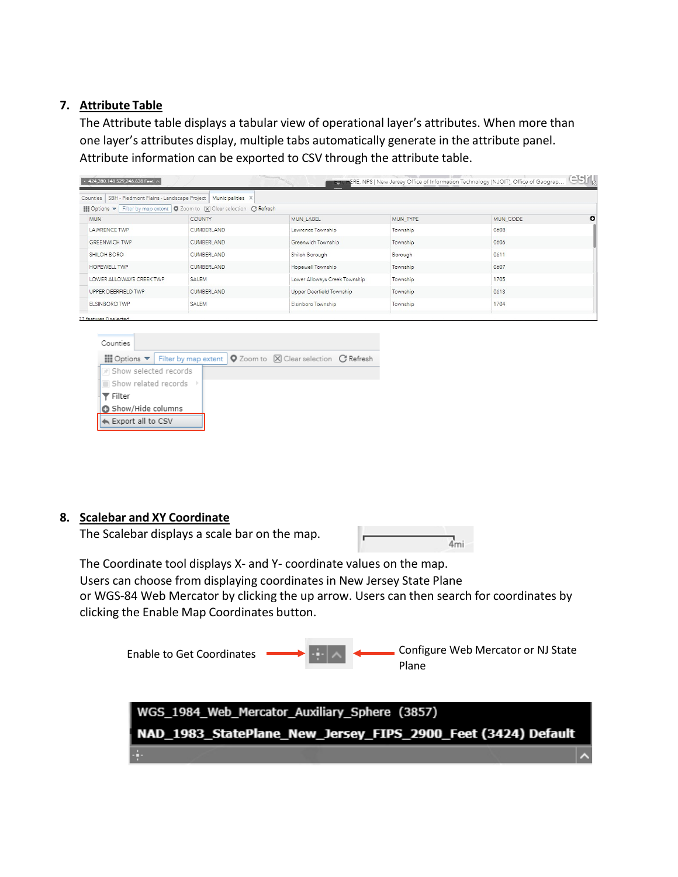# **7. Attribute Table**

The Attribute table displays a tabular view of operational layer's attributes. When more than one layer's attributes display, multiple tabs automatically generate in the attribute panel. Attribute information can be exported to CSV through the attribute table.

| Counties   SBH - Piedmont Plains - Landscape Project                   | Municipalities X                          |                               |                 |                 |         |
|------------------------------------------------------------------------|-------------------------------------------|-------------------------------|-----------------|-----------------|---------|
| $\frac{111}{200}$ Options $\blacktriangledown$<br>Filter by map extent | O Zoom to   X Clear selection   C Refresh |                               |                 |                 |         |
| <b>MUN</b>                                                             | <b>COUNTY</b>                             | <b>MUN LABEL</b>              | <b>MUN TYPE</b> | <b>MUN CODE</b> | $\circ$ |
| <b>LAWRENCE TWP</b>                                                    | <b>CUMBERLAND</b>                         | Lawrence Township             | Township        | 0608            |         |
| <b>GREENWICH TWP</b>                                                   | <b>CUMBERLAND</b>                         | Greenwich Township            | Township        | 0606            |         |
| SHILOH BORO                                                            | <b>CUMBERLAND</b>                         | Shiloh Borough                | Borough         | 0611            |         |
| <b>HOPEWELL TWP</b>                                                    | <b>CUMBERLAND</b>                         | Hopewell Township             | Township        | 0607            |         |
| LOWER ALLOWAYS CREEK TWP                                               | SALEM                                     | Lower Alloways Creek Township | Township        | 1705            |         |
| UPPER DEERFIELD TWP                                                    | <b>CUMBERLAND</b>                         | Upper Deerfield Township      | Township        | 0613            |         |
| <b>ELSINBORO TWP</b>                                                   | SALEM                                     | Elsinboro Township            | Township        | 1704            |         |



## **8. Scalebar and XY Coordinate**

The Scalebar displays a scale bar on the map.



The Coordinate tool displays X- and Y- coordinate values on the map. Users can choose from displaying coordinates in New Jersey State Plane or WGS-84 Web Mercator by clicking the up arrow. Users can then search for coordinates by clicking the Enable Map Coordinates button.

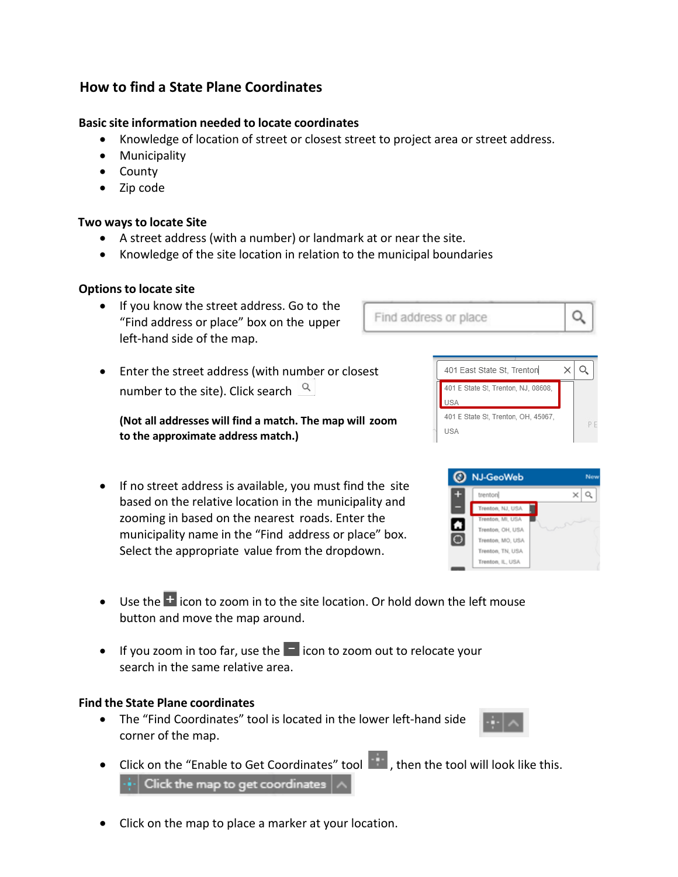# **How to find a State Plane Coordinates**

## **Basic site information needed to locate coordinates**

- Knowledge of location of street or closest street to project area or street address.
- Municipality
- County
- Zip code

## **Two ways to locate Site**

- A street address (with a number) or landmark at or near the site.
- Knowledge of the site location in relation to the municipal boundaries

## **Options to locate site**

- If you know the street address. Go to the "Find address or place" box on the upper left-hand side of the map.
- Enter the street address (with number or closest number to the site). Click search  $\sqrt{a}$

**(Not all addresses will find a match. The map will zoom to the approximate address match.)**

- If no street address is available, you must find the site based on the relative location in the municipality and zooming in based on the nearest roads. Enter the municipality name in the "Find address or place" box. Select the appropriate value from the dropdown.
- Use the  $\pm$  icon to zoom in to the site location. Or hold down the left mouse button and move the map around.
- If you zoom in too far, use the  $\blacksquare$  icon to zoom out to relocate your search in the same relative area.

## **Find the State Plane coordinates**

- The "Find Coordinates" tool is located in the lower left-hand side corner of the map.
- Click on the "Enable to Get Coordinates" tool **but in the tool will look like this.**  $\left\vert \cdot \right\vert \cdot \right\vert$  Click the map to get coordinates  $\left\vert \wedge \right\vert$
- Click on the map to place a marker at your location.